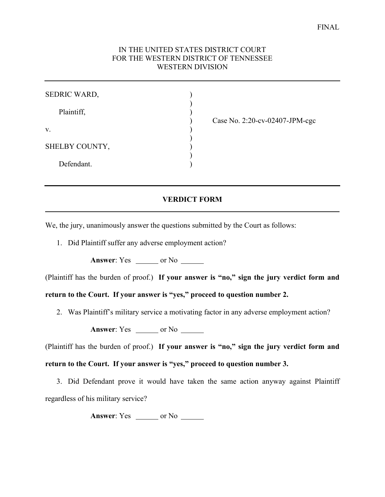## IN THE UNITED STATES DISTRICT COURT FOR THE WESTERN DISTRICT OF TENNESSEE WESTERN DIVISION

) ) ) ) ) ) ) ) )

Plaintiff,

v.

SHELBY COUNTY,

Defendant.

Case No. 2:20-cv-02407-JPM-cgc

## **VERDICT FORM**

We, the jury, unanimously answer the questions submitted by the Court as follows:

1. Did Plaintiff suffer any adverse employment action?

**Answer**: Yes \_\_\_\_\_\_ or No \_\_\_\_\_\_

(Plaintiff has the burden of proof.) **If your answer is "no," sign the jury verdict form and** 

**return to the Court. If your answer is "yes," proceed to question number 2.**

2. Was Plaintiff's military service a motivating factor in any adverse employment action?

**Answer**: Yes \_\_\_\_\_\_ or No \_\_\_\_\_\_

(Plaintiff has the burden of proof.) **If your answer is "no," sign the jury verdict form and return to the Court. If your answer is "yes," proceed to question number 3.**

3. Did Defendant prove it would have taken the same action anyway against Plaintiff regardless of his military service?

**Answer**: Yes \_\_\_\_\_\_\_ or No \_\_\_\_\_\_\_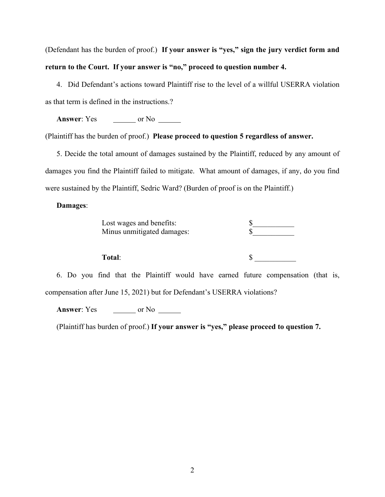(Defendant has the burden of proof.) **If your answer is "yes," sign the jury verdict form and return to the Court. If your answer is "no," proceed to question number 4.**

4. Did Defendant's actions toward Plaintiff rise to the level of a willful USERRA violation as that term is defined in the instructions.?

**Answer**: Yes \_\_\_\_\_\_\_\_ or No \_\_\_\_\_\_

(Plaintiff has the burden of proof.) **Please proceed to question 5 regardless of answer.**

5. Decide the total amount of damages sustained by the Plaintiff, reduced by any amount of damages you find the Plaintiff failed to mitigate. What amount of damages, if any, do you find were sustained by the Plaintiff, Sedric Ward? (Burden of proof is on the Plaintiff.)

## **Damages**:

| Lost wages and benefits:   |  |
|----------------------------|--|
| Minus unmitigated damages: |  |

Total:  $\qquad \qquad$  \$

6. Do you find that the Plaintiff would have earned future compensation (that is, compensation after June 15, 2021) but for Defendant's USERRA violations?

**Answer**: Yes \_\_\_\_\_\_\_\_ or No \_\_\_\_\_\_\_

(Plaintiff has burden of proof.) **If your answer is "yes," please proceed to question 7.**